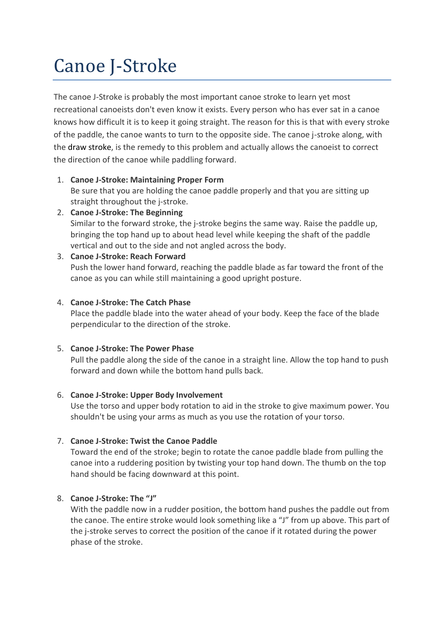# Canoe J-Stroke

The canoe J-Stroke is probably the most important canoe stroke to learn yet most recreational canoeists don't even know it exists. Every person who has ever sat in a canoe knows how difficult it is to keep it going straight. The reason for this is that with every stroke of the paddle, the canoe wants to turn to the opposite side. The canoe j-stroke along, with the draw stroke, is the remedy to this problem and actually allows the canoeist to correct the direction of the canoe while paddling forward.

## 1. **Canoe J-Stroke: Maintaining Proper Form**

Be sure that you are holding the canoe paddle properly and that you are sitting up straight throughout the j-stroke.

2. **Canoe J-Stroke: The Beginning**

Similar to the forward stroke, the j-stroke begins the same way. Raise the paddle up, bringing the top hand up to about head level while keeping the shaft of the paddle vertical and out to the side and not angled across the body.

## 3. **Canoe J-Stroke: Reach Forward**

Push the lower hand forward, reaching the paddle blade as far toward the front of the canoe as you can while still maintaining a good upright posture.

## 4. **Canoe J-Stroke: The Catch Phase**

Place the paddle blade into the water ahead of your body. Keep the face of the blade perpendicular to the direction of the stroke.

# 5. **Canoe J-Stroke: The Power Phase**

Pull the paddle along the side of the canoe in a straight line. Allow the top hand to push forward and down while the bottom hand pulls back.

# 6. **Canoe J-Stroke: Upper Body Involvement**

Use the torso and upper body rotation to aid in the stroke to give maximum power. You shouldn't be using your arms as much as you use the rotation of your torso.

## 7. **Canoe J-Stroke: Twist the Canoe Paddle**

Toward the end of the stroke; begin to rotate the canoe paddle blade from pulling the canoe into a ruddering position by twisting your top hand down. The thumb on the top hand should be facing downward at this point.

## 8. **Canoe J-Stroke: The "J"**

With the paddle now in a rudder position, the bottom hand pushes the paddle out from the canoe. The entire stroke would look something like a "J" from up above. This part of the j-stroke serves to correct the position of the canoe if it rotated during the power phase of the stroke.